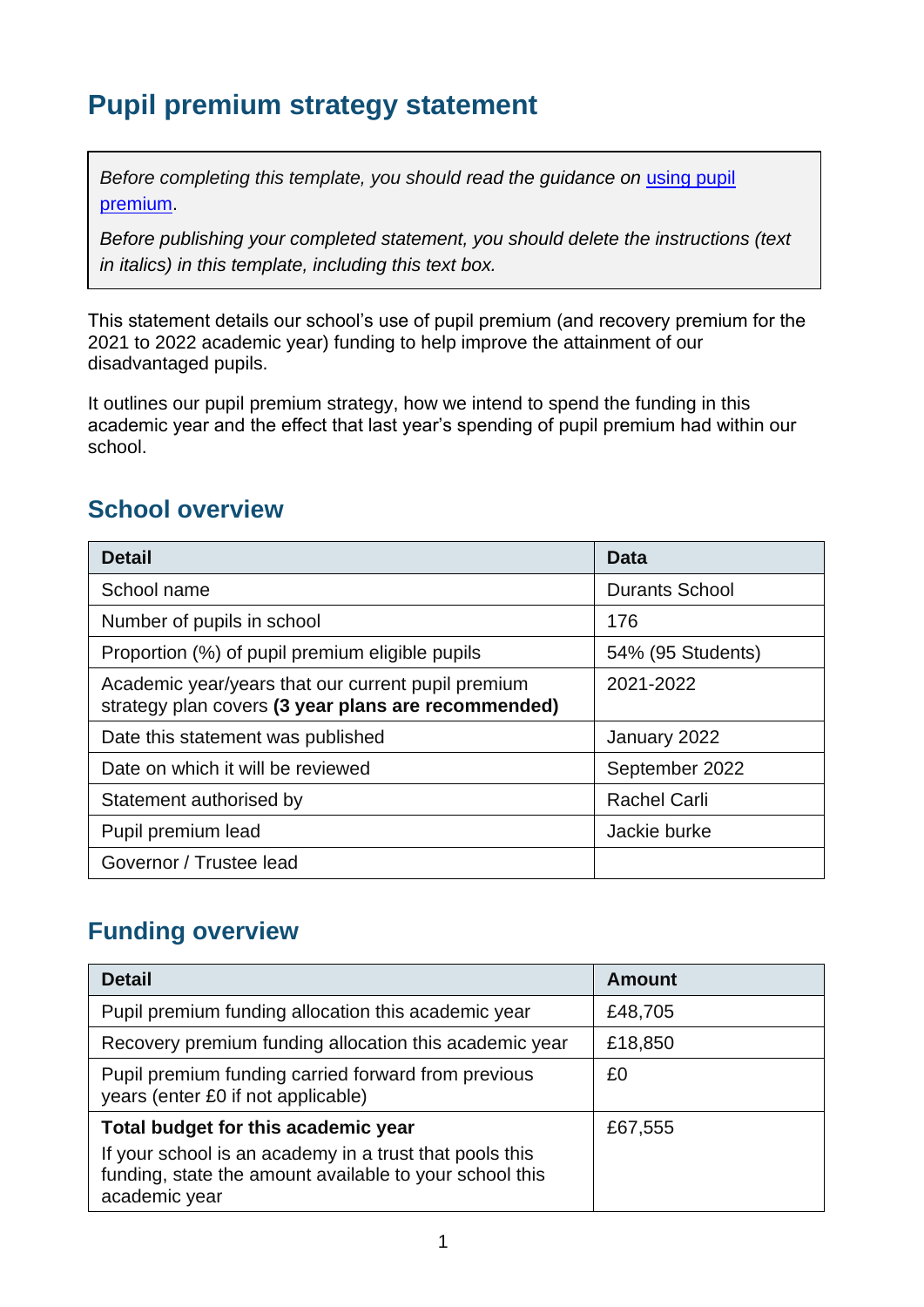# **Pupil premium strategy statement**

*Before completing this template, you should read the guidance on using pupil* [premium.](https://www.gov.uk/guidance/pupil-premium-effective-use-and-accountability#online-statements)

*Before publishing your completed statement, you should delete the instructions (text in italics) in this template, including this text box.*

This statement details our school's use of pupil premium (and recovery premium for the 2021 to 2022 academic year) funding to help improve the attainment of our disadvantaged pupils.

It outlines our pupil premium strategy, how we intend to spend the funding in this academic year and the effect that last year's spending of pupil premium had within our school.

## **School overview**

| <b>Detail</b>                                                                                             | Data                  |
|-----------------------------------------------------------------------------------------------------------|-----------------------|
| School name                                                                                               | <b>Durants School</b> |
| Number of pupils in school                                                                                | 176                   |
| Proportion (%) of pupil premium eligible pupils                                                           | 54% (95 Students)     |
| Academic year/years that our current pupil premium<br>strategy plan covers (3 year plans are recommended) | 2021-2022             |
| Date this statement was published                                                                         | January 2022          |
| Date on which it will be reviewed                                                                         | September 2022        |
| Statement authorised by                                                                                   | <b>Rachel Carli</b>   |
| Pupil premium lead                                                                                        | Jackie burke          |
| Governor / Trustee lead                                                                                   |                       |

### **Funding overview**

| <b>Detail</b>                                                                                                                       | <b>Amount</b> |
|-------------------------------------------------------------------------------------------------------------------------------------|---------------|
| Pupil premium funding allocation this academic year                                                                                 | £48,705       |
| Recovery premium funding allocation this academic year                                                                              | £18,850       |
| Pupil premium funding carried forward from previous<br>years (enter £0 if not applicable)                                           | £0            |
| Total budget for this academic year                                                                                                 | £67,555       |
| If your school is an academy in a trust that pools this<br>funding, state the amount available to your school this<br>academic year |               |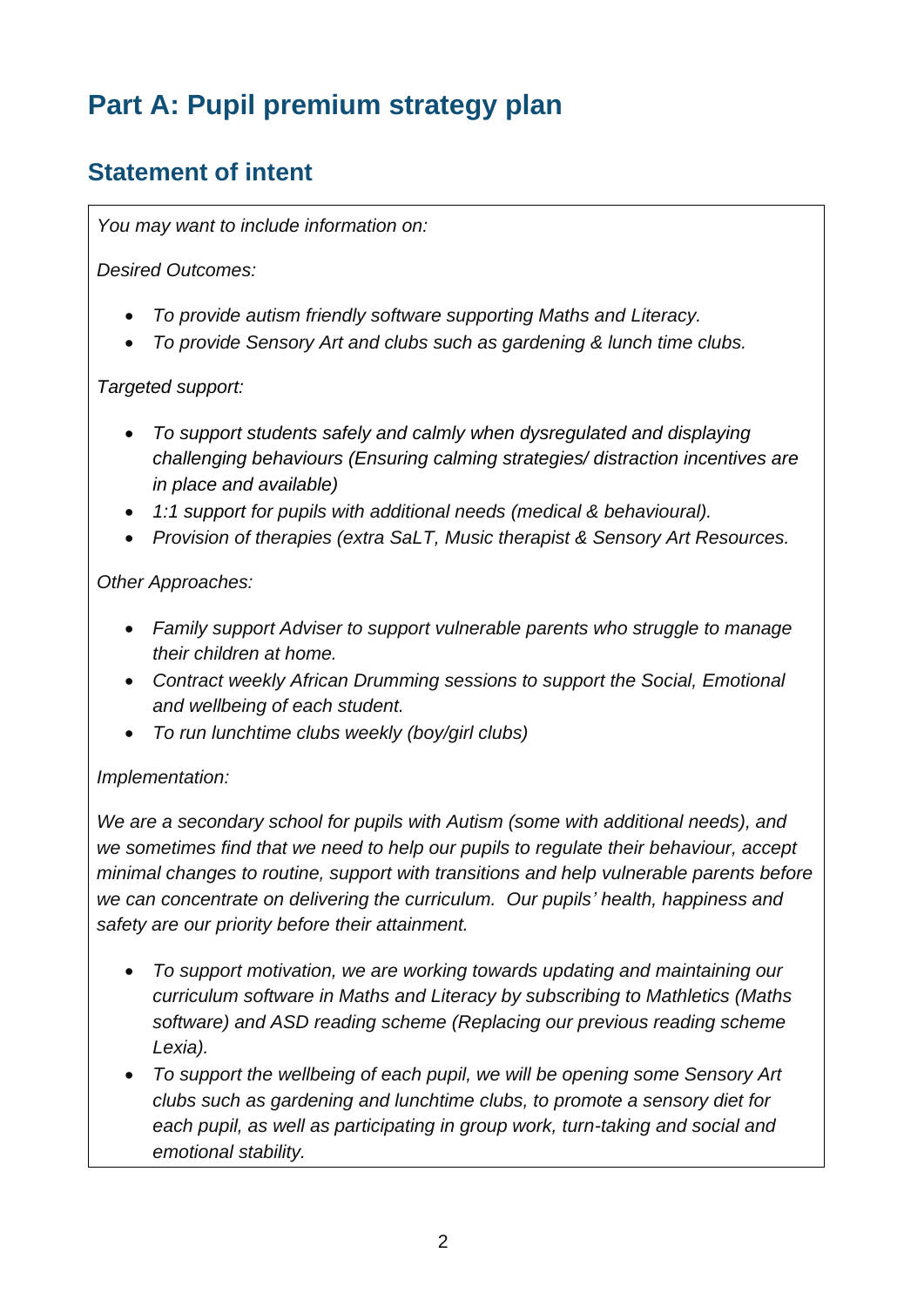# **Part A: Pupil premium strategy plan**

## **Statement of intent**

*You may want to include information on:*

*Desired Outcomes:*

- *To provide autism friendly software supporting Maths and Literacy.*
- *To provide Sensory Art and clubs such as gardening & lunch time clubs.*

#### *Targeted support:*

- *To support students safely and calmly when dysregulated and displaying challenging behaviours (Ensuring calming strategies/ distraction incentives are in place and available)*
- *1:1 support for pupils with additional needs (medical & behavioural).*
- *Provision of therapies (extra SaLT, Music therapist & Sensory Art Resources.*

*Other Approaches:*

- *Family support Adviser to support vulnerable parents who struggle to manage their children at home.*
- *Contract weekly African Drumming sessions to support the Social, Emotional and wellbeing of each student.*
- *To run lunchtime clubs weekly (boy/girl clubs)*

#### *Implementation:*

*We are a secondary school for pupils with Autism (some with additional needs), and we sometimes find that we need to help our pupils to regulate their behaviour, accept minimal changes to routine, support with transitions and help vulnerable parents before we can concentrate on delivering the curriculum. Our pupils' health, happiness and safety are our priority before their attainment.* 

- *To support motivation, we are working towards updating and maintaining our curriculum software in Maths and Literacy by subscribing to Mathletics (Maths software) and ASD reading scheme (Replacing our previous reading scheme Lexia).*
- *To support the wellbeing of each pupil, we will be opening some Sensory Art clubs such as gardening and lunchtime clubs, to promote a sensory diet for each pupil, as well as participating in group work, turn-taking and social and emotional stability.*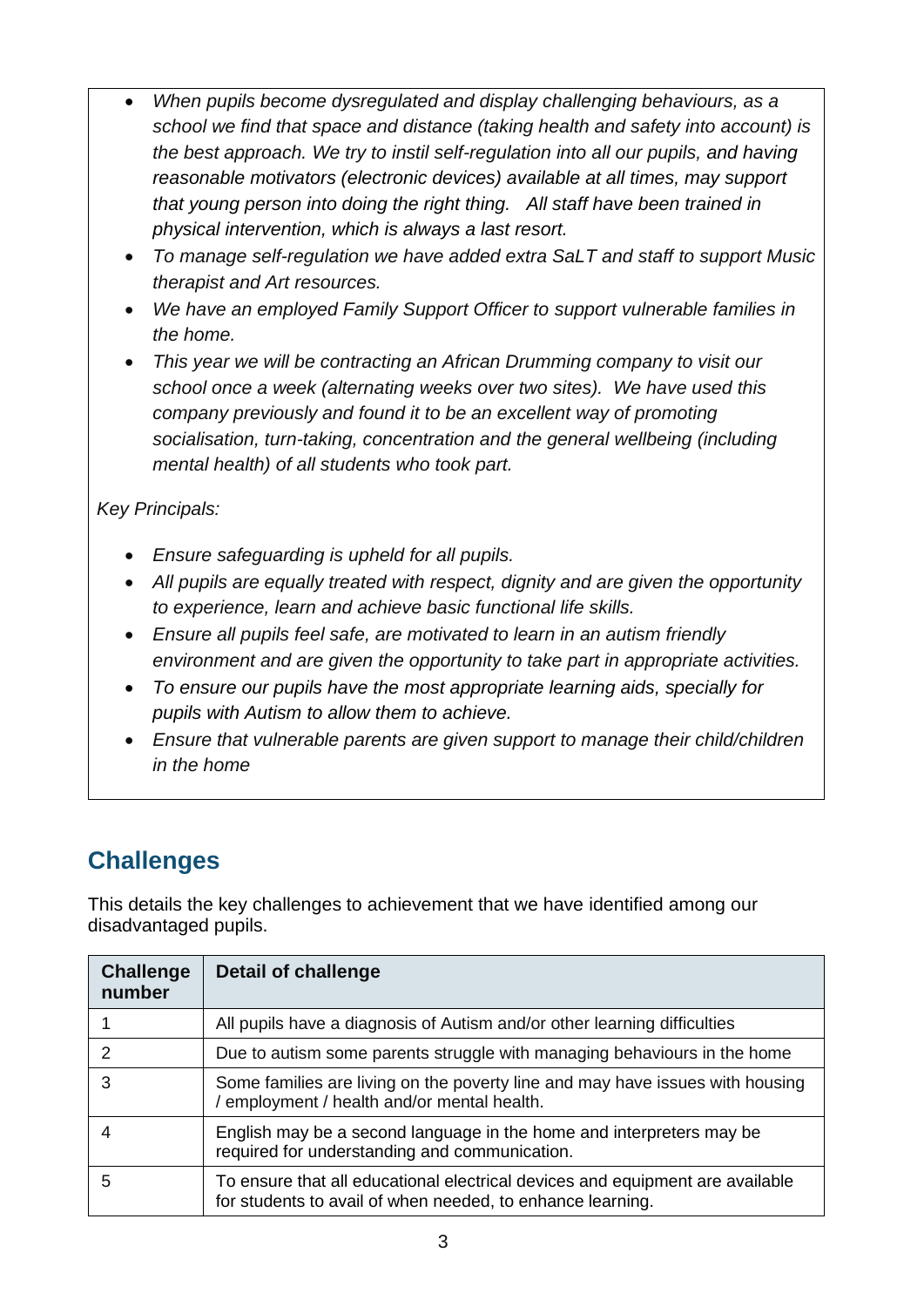- *When pupils become dysregulated and display challenging behaviours, as a school we find that space and distance (taking health and safety into account) is the best approach. We try to instil self-regulation into all our pupils, and having reasonable motivators (electronic devices) available at all times, may support that young person into doing the right thing. All staff have been trained in physical intervention, which is always a last resort.*
- *To manage self-regulation we have added extra SaLT and staff to support Music therapist and Art resources.*
- *We have an employed Family Support Officer to support vulnerable families in the home.*
- *This year we will be contracting an African Drumming company to visit our school once a week (alternating weeks over two sites). We have used this company previously and found it to be an excellent way of promoting socialisation, turn-taking, concentration and the general wellbeing (including mental health) of all students who took part.*

*Key Principals:*

- *Ensure safeguarding is upheld for all pupils.*
- *All pupils are equally treated with respect, dignity and are given the opportunity to experience, learn and achieve basic functional life skills.*
- *Ensure all pupils feel safe, are motivated to learn in an autism friendly environment and are given the opportunity to take part in appropriate activities.*
- *To ensure our pupils have the most appropriate learning aids, specially for pupils with Autism to allow them to achieve.*
- *Ensure that vulnerable parents are given support to manage their child/children in the home*

# **Challenges**

This details the key challenges to achievement that we have identified among our disadvantaged pupils.

| <b>Challenge</b><br>number | Detail of challenge                                                                                                                         |
|----------------------------|---------------------------------------------------------------------------------------------------------------------------------------------|
|                            | All pupils have a diagnosis of Autism and/or other learning difficulties                                                                    |
| $\mathcal{P}$              | Due to autism some parents struggle with managing behaviours in the home                                                                    |
| 3                          | Some families are living on the poverty line and may have issues with housing<br>/ employment / health and/or mental health.                |
|                            | English may be a second language in the home and interpreters may be<br>required for understanding and communication.                       |
| 5                          | To ensure that all educational electrical devices and equipment are available<br>for students to avail of when needed, to enhance learning. |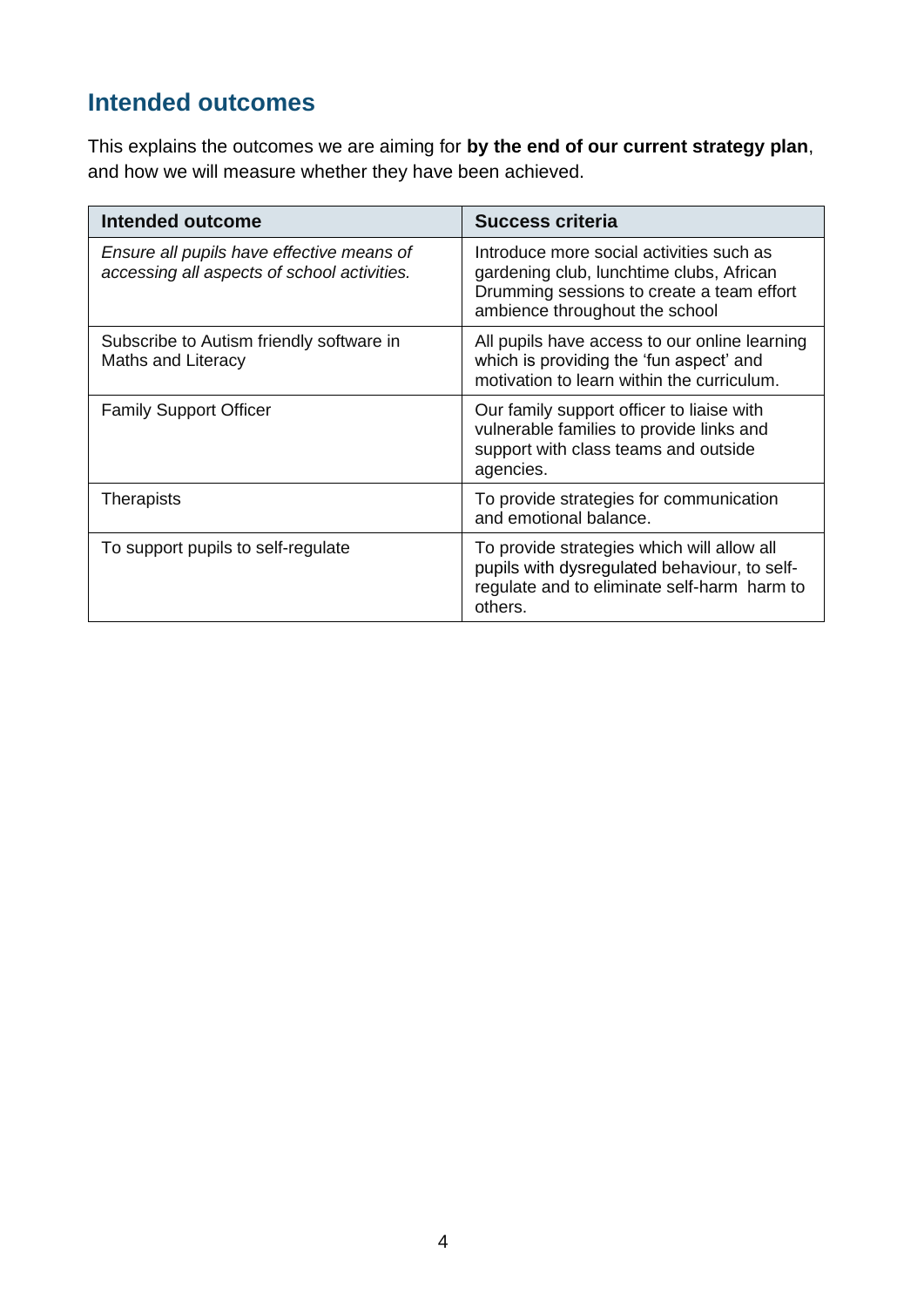## **Intended outcomes**

This explains the outcomes we are aiming for **by the end of our current strategy plan**, and how we will measure whether they have been achieved.

| <b>Intended outcome</b>                                                                  | <b>Success criteria</b>                                                                                                                                             |
|------------------------------------------------------------------------------------------|---------------------------------------------------------------------------------------------------------------------------------------------------------------------|
| Ensure all pupils have effective means of<br>accessing all aspects of school activities. | Introduce more social activities such as<br>gardening club, lunchtime clubs, African<br>Drumming sessions to create a team effort<br>ambience throughout the school |
| Subscribe to Autism friendly software in<br>Maths and Literacy                           | All pupils have access to our online learning<br>which is providing the 'fun aspect' and<br>motivation to learn within the curriculum.                              |
| <b>Family Support Officer</b>                                                            | Our family support officer to liaise with<br>vulnerable families to provide links and<br>support with class teams and outside<br>agencies.                          |
| Therapists                                                                               | To provide strategies for communication<br>and emotional balance.                                                                                                   |
| To support pupils to self-regulate                                                       | To provide strategies which will allow all<br>pupils with dysregulated behaviour, to self-<br>regulate and to eliminate self-harm harm to<br>others.                |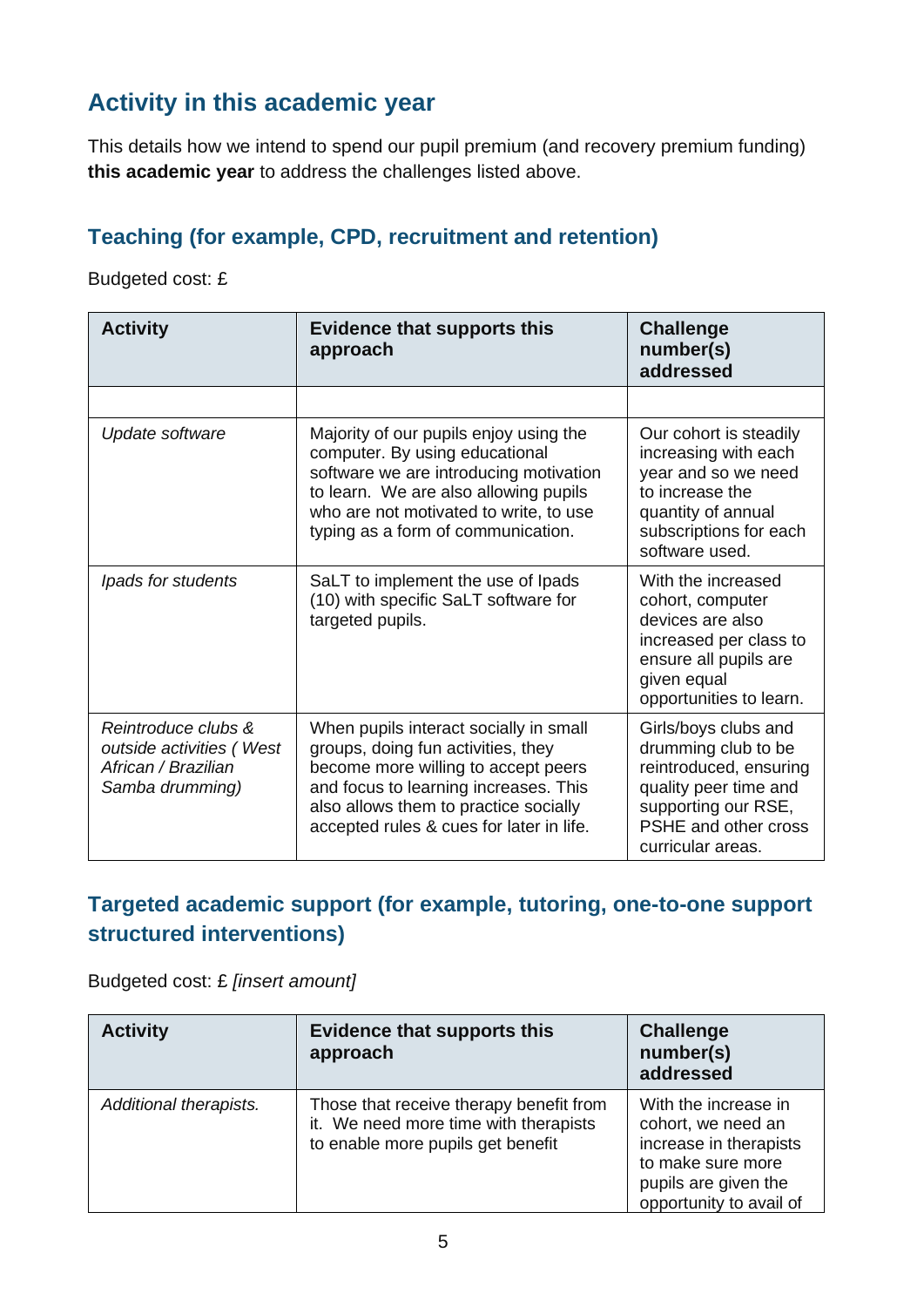## **Activity in this academic year**

This details how we intend to spend our pupil premium (and recovery premium funding) **this academic year** to address the challenges listed above.

#### **Teaching (for example, CPD, recruitment and retention)**

Budgeted cost: £

| <b>Activity</b>                                                                           | <b>Evidence that supports this</b><br>approach                                                                                                                                                                                                    | <b>Challenge</b><br>number(s)<br>addressed                                                                                                                         |
|-------------------------------------------------------------------------------------------|---------------------------------------------------------------------------------------------------------------------------------------------------------------------------------------------------------------------------------------------------|--------------------------------------------------------------------------------------------------------------------------------------------------------------------|
|                                                                                           |                                                                                                                                                                                                                                                   |                                                                                                                                                                    |
| Update software                                                                           | Majority of our pupils enjoy using the<br>computer. By using educational<br>software we are introducing motivation<br>to learn. We are also allowing pupils<br>who are not motivated to write, to use<br>typing as a form of communication.       | Our cohort is steadily<br>increasing with each<br>year and so we need<br>to increase the<br>quantity of annual<br>subscriptions for each<br>software used.         |
| Ipads for students                                                                        | SaLT to implement the use of Ipads<br>(10) with specific SaLT software for<br>targeted pupils.                                                                                                                                                    | With the increased<br>cohort, computer<br>devices are also<br>increased per class to<br>ensure all pupils are<br>given equal<br>opportunities to learn.            |
| Reintroduce clubs &<br>outside activities (West<br>African / Brazilian<br>Samba drumming) | When pupils interact socially in small<br>groups, doing fun activities, they<br>become more willing to accept peers<br>and focus to learning increases. This<br>also allows them to practice socially<br>accepted rules & cues for later in life. | Girls/boys clubs and<br>drumming club to be<br>reintroduced, ensuring<br>quality peer time and<br>supporting our RSE,<br>PSHE and other cross<br>curricular areas. |

#### **Targeted academic support (for example, tutoring, one-to-one support structured interventions)**

Budgeted cost: £ *[insert amount]*

| <b>Activity</b>        | <b>Evidence that supports this</b><br>approach                                                                        | <b>Challenge</b><br>number(s)<br>addressed                                                                                                   |
|------------------------|-----------------------------------------------------------------------------------------------------------------------|----------------------------------------------------------------------------------------------------------------------------------------------|
| Additional therapists. | Those that receive therapy benefit from<br>it. We need more time with therapists<br>to enable more pupils get benefit | With the increase in<br>cohort, we need an<br>increase in therapists<br>to make sure more<br>pupils are given the<br>opportunity to avail of |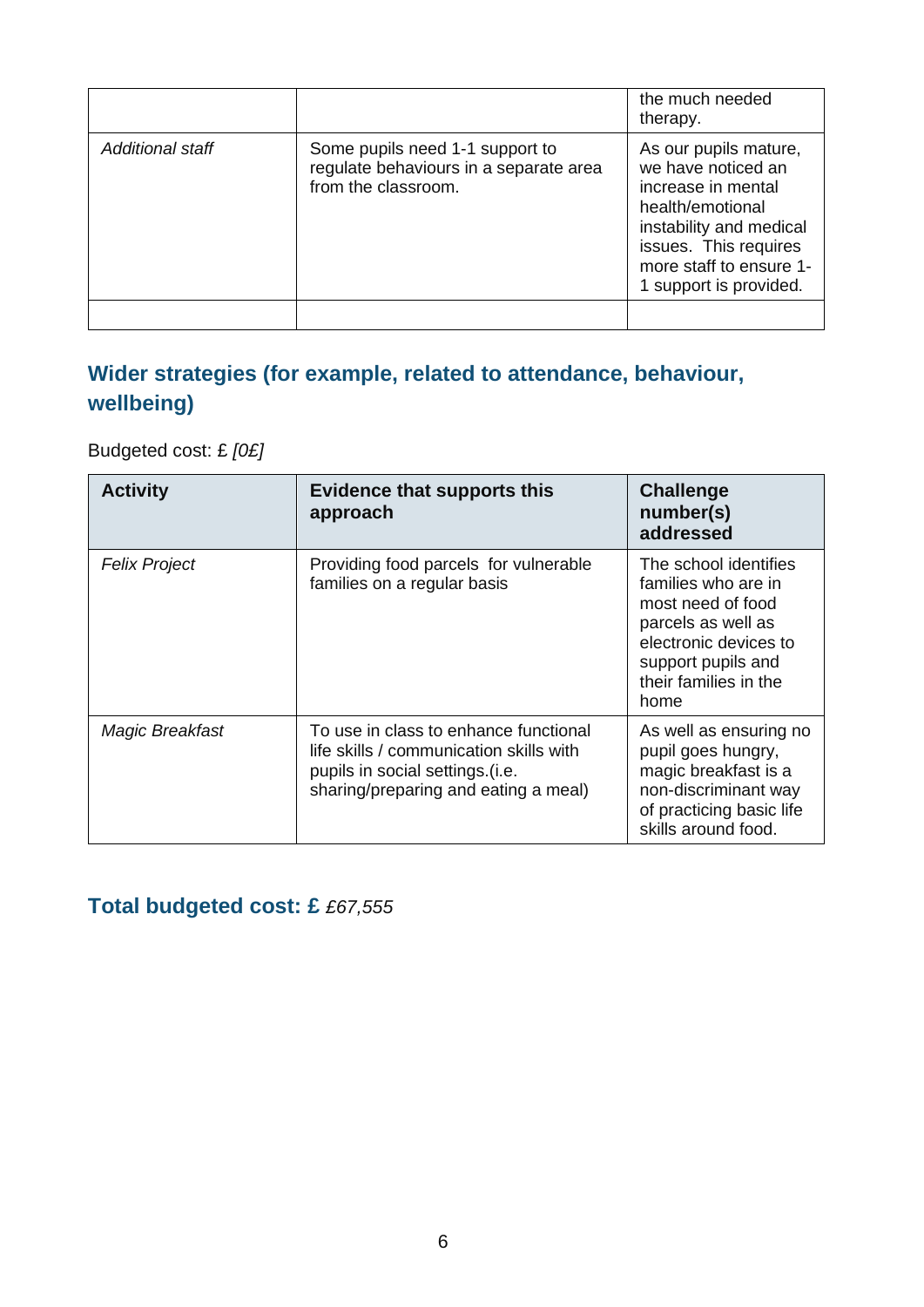|                  |                                                                                                  | the much needed<br>therapy.                                                                                                                                                                    |
|------------------|--------------------------------------------------------------------------------------------------|------------------------------------------------------------------------------------------------------------------------------------------------------------------------------------------------|
| Additional staff | Some pupils need 1-1 support to<br>regulate behaviours in a separate area<br>from the classroom. | As our pupils mature,<br>we have noticed an<br>increase in mental<br>health/emotional<br>instability and medical<br>issues. This requires<br>more staff to ensure 1-<br>1 support is provided. |
|                  |                                                                                                  |                                                                                                                                                                                                |

## **Wider strategies (for example, related to attendance, behaviour, wellbeing)**

Budgeted cost: £ *[0£]*

| <b>Activity</b>      | Evidence that supports this<br>approach                                                                                                                     | <b>Challenge</b><br>number(s)<br>addressed                                                                                                                              |
|----------------------|-------------------------------------------------------------------------------------------------------------------------------------------------------------|-------------------------------------------------------------------------------------------------------------------------------------------------------------------------|
| <b>Felix Project</b> | Providing food parcels for vulnerable<br>families on a regular basis                                                                                        | The school identifies<br>families who are in<br>most need of food<br>parcels as well as<br>electronic devices to<br>support pupils and<br>their families in the<br>home |
| Magic Breakfast      | To use in class to enhance functional<br>life skills / communication skills with<br>pupils in social settings (i.e.<br>sharing/preparing and eating a meal) | As well as ensuring no<br>pupil goes hungry,<br>magic breakfast is a<br>non-discriminant way<br>of practicing basic life<br>skills around food.                         |

**Total budgeted cost: £** *£67,555*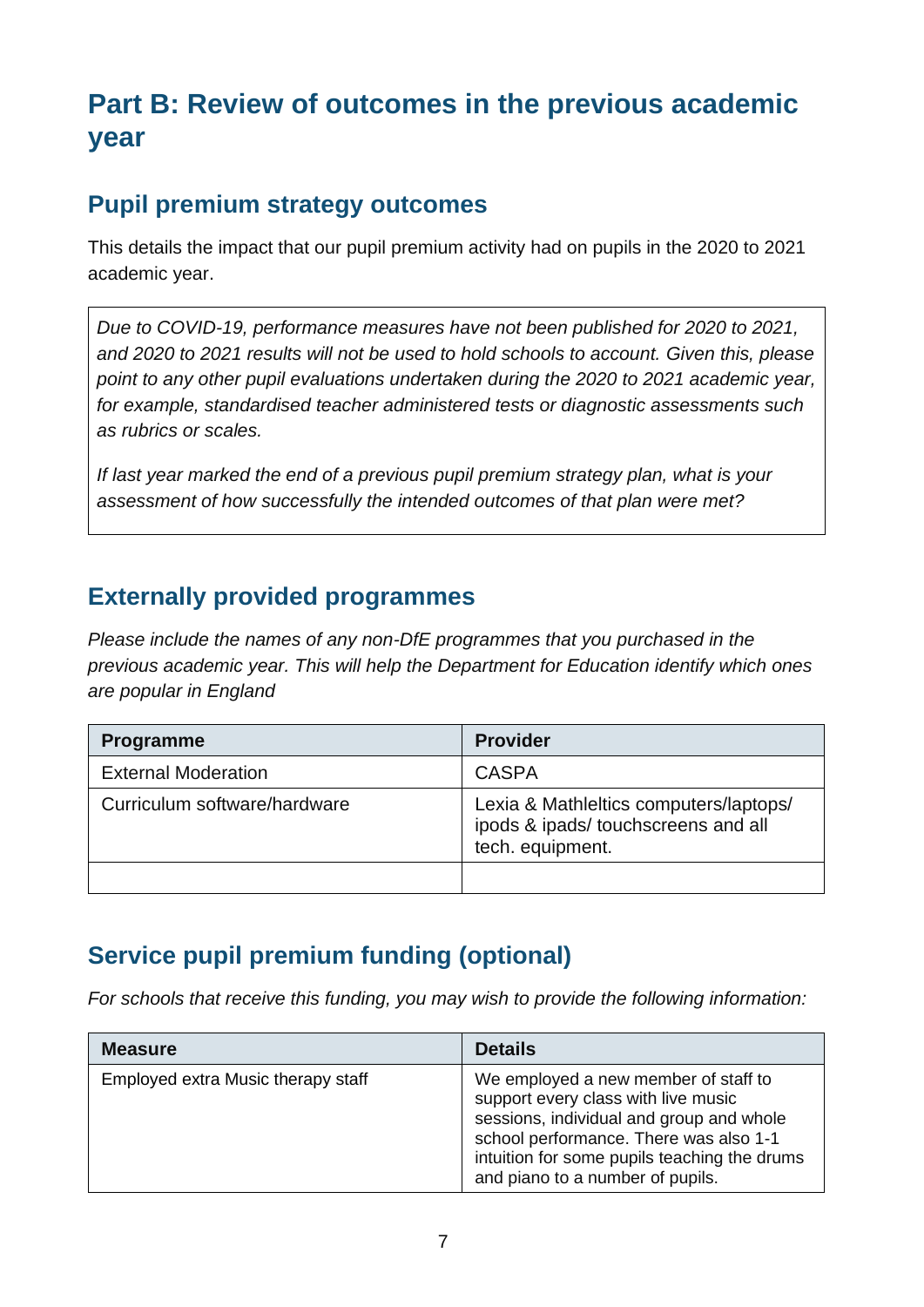# **Part B: Review of outcomes in the previous academic year**

#### **Pupil premium strategy outcomes**

This details the impact that our pupil premium activity had on pupils in the 2020 to 2021 academic year.

*Due to COVID-19, performance measures have not been published for 2020 to 2021, and 2020 to 2021 results will not be used to hold schools to account. Given this, please point to any other pupil evaluations undertaken during the 2020 to 2021 academic year, for example, standardised teacher administered tests or diagnostic assessments such as rubrics or scales.*

*If last year marked the end of a previous pupil premium strategy plan, what is your assessment of how successfully the intended outcomes of that plan were met?* 

#### **Externally provided programmes**

*Please include the names of any non-DfE programmes that you purchased in the previous academic year. This will help the Department for Education identify which ones are popular in England*

| <b>Programme</b>             | <b>Provider</b>                                                                                   |
|------------------------------|---------------------------------------------------------------------------------------------------|
| <b>External Moderation</b>   | <b>CASPA</b>                                                                                      |
| Curriculum software/hardware | Lexia & Mathleltics computers/laptops/<br>ipods & ipads/ touchscreens and all<br>tech. equipment. |
|                              |                                                                                                   |

## **Service pupil premium funding (optional)**

*For schools that receive this funding, you may wish to provide the following information:* 

| <b>Measure</b>                     | <b>Details</b>                                                                                                                                                                                                                                        |
|------------------------------------|-------------------------------------------------------------------------------------------------------------------------------------------------------------------------------------------------------------------------------------------------------|
| Employed extra Music therapy staff | We employed a new member of staff to<br>support every class with live music<br>sessions, individual and group and whole<br>school performance. There was also 1-1<br>intuition for some pupils teaching the drums<br>and piano to a number of pupils. |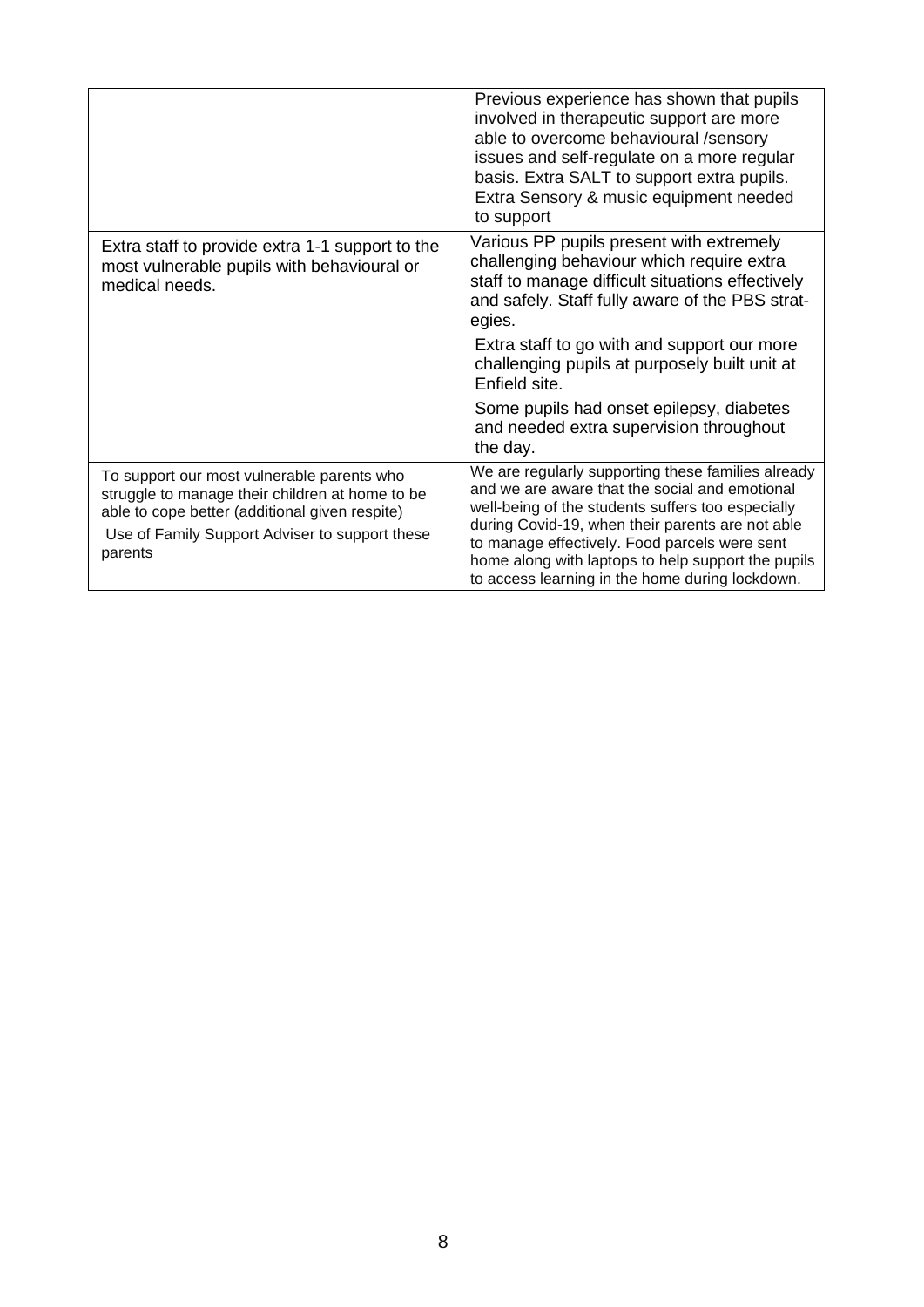|                                                                                                                                                                                                              | Previous experience has shown that pupils<br>involved in therapeutic support are more<br>able to overcome behavioural /sensory<br>issues and self-regulate on a more regular<br>basis. Extra SALT to support extra pupils.<br>Extra Sensory & music equipment needed<br>to support                                                                                      |
|--------------------------------------------------------------------------------------------------------------------------------------------------------------------------------------------------------------|-------------------------------------------------------------------------------------------------------------------------------------------------------------------------------------------------------------------------------------------------------------------------------------------------------------------------------------------------------------------------|
| Extra staff to provide extra 1-1 support to the<br>most vulnerable pupils with behavioural or<br>medical needs.                                                                                              | Various PP pupils present with extremely<br>challenging behaviour which require extra<br>staff to manage difficult situations effectively<br>and safely. Staff fully aware of the PBS strat-<br>egies.                                                                                                                                                                  |
|                                                                                                                                                                                                              | Extra staff to go with and support our more<br>challenging pupils at purposely built unit at<br>Enfield site.                                                                                                                                                                                                                                                           |
|                                                                                                                                                                                                              | Some pupils had onset epilepsy, diabetes<br>and needed extra supervision throughout<br>the day.                                                                                                                                                                                                                                                                         |
| To support our most vulnerable parents who<br>struggle to manage their children at home to be<br>able to cope better (additional given respite)<br>Use of Family Support Adviser to support these<br>parents | We are regularly supporting these families already<br>and we are aware that the social and emotional<br>well-being of the students suffers too especially<br>during Covid-19, when their parents are not able<br>to manage effectively. Food parcels were sent<br>home along with laptops to help support the pupils<br>to access learning in the home during lockdown. |